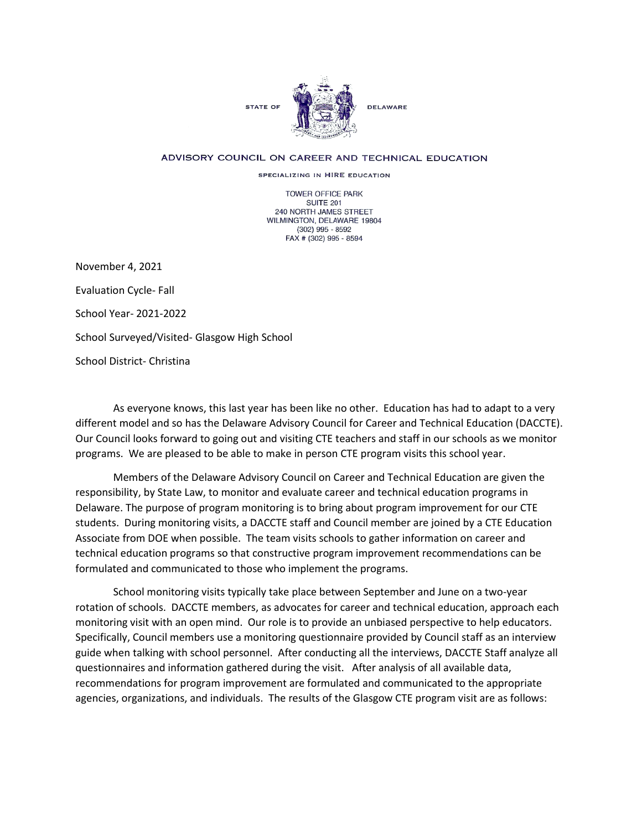

## ADVISORY COUNCIL ON CAREER AND TECHNICAL EDUCATION

SPECIALIZING IN HIRE EDUCATION

TOWER OFFICE PARK SUITE 201 240 NORTH JAMES STREET WILMINGTON, DELAWARE 19804 (302) 995 - 8592 FAX # (302) 995 - 8594

November 4, 2021 Evaluation Cycle- Fall School Year- 2021-2022 School Surveyed/Visited- Glasgow High School School District- Christina

As everyone knows, this last year has been like no other. Education has had to adapt to a very different model and so has the Delaware Advisory Council for Career and Technical Education (DACCTE). Our Council looks forward to going out and visiting CTE teachers and staff in our schools as we monitor programs. We are pleased to be able to make in person CTE program visits this school year.

Members of the Delaware Advisory Council on Career and Technical Education are given the responsibility, by State Law, to monitor and evaluate career and technical education programs in Delaware. The purpose of program monitoring is to bring about program improvement for our CTE students. During monitoring visits, a DACCTE staff and Council member are joined by a CTE Education Associate from DOE when possible. The team visits schools to gather information on career and technical education programs so that constructive program improvement recommendations can be formulated and communicated to those who implement the programs.

School monitoring visits typically take place between September and June on a two-year rotation of schools. DACCTE members, as advocates for career and technical education, approach each monitoring visit with an open mind. Our role is to provide an unbiased perspective to help educators. Specifically, Council members use a monitoring questionnaire provided by Council staff as an interview guide when talking with school personnel. After conducting all the interviews, DACCTE Staff analyze all questionnaires and information gathered during the visit. After analysis of all available data, recommendations for program improvement are formulated and communicated to the appropriate agencies, organizations, and individuals. The results of the Glasgow CTE program visit are as follows: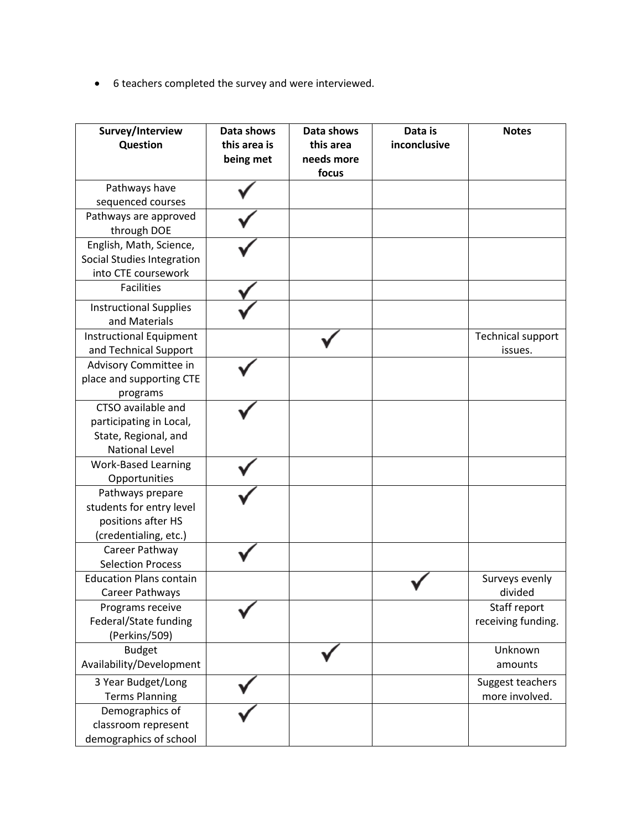• 6 teachers completed the survey and were interviewed.

| Survey/Interview<br>Question                                                                   | Data shows<br>this area is<br>being met | Data shows<br>this area<br>needs more<br>focus | Data is<br>inconclusive | <b>Notes</b>                        |
|------------------------------------------------------------------------------------------------|-----------------------------------------|------------------------------------------------|-------------------------|-------------------------------------|
| Pathways have                                                                                  |                                         |                                                |                         |                                     |
| sequenced courses                                                                              |                                         |                                                |                         |                                     |
| Pathways are approved<br>through DOE                                                           |                                         |                                                |                         |                                     |
| English, Math, Science,<br>Social Studies Integration<br>into CTE coursework                   |                                         |                                                |                         |                                     |
| <b>Facilities</b>                                                                              |                                         |                                                |                         |                                     |
| <b>Instructional Supplies</b><br>and Materials                                                 |                                         |                                                |                         |                                     |
| <b>Instructional Equipment</b><br>and Technical Support                                        |                                         |                                                |                         | <b>Technical support</b><br>issues. |
| Advisory Committee in<br>place and supporting CTE<br>programs                                  |                                         |                                                |                         |                                     |
| CTSO available and<br>participating in Local,<br>State, Regional, and<br><b>National Level</b> |                                         |                                                |                         |                                     |
| <b>Work-Based Learning</b><br>Opportunities                                                    |                                         |                                                |                         |                                     |
| Pathways prepare<br>students for entry level<br>positions after HS<br>(credentialing, etc.)    |                                         |                                                |                         |                                     |
| Career Pathway<br><b>Selection Process</b>                                                     |                                         |                                                |                         |                                     |
| <b>Education Plans contain</b><br>Career Pathways                                              |                                         |                                                |                         | Surveys evenly<br>divided           |
| Programs receive<br>Federal/State funding<br>(Perkins/509)                                     |                                         |                                                |                         | Staff report<br>receiving funding.  |
| <b>Budget</b><br>Availability/Development                                                      |                                         |                                                |                         | Unknown<br>amounts                  |
| 3 Year Budget/Long<br><b>Terms Planning</b>                                                    |                                         |                                                |                         | Suggest teachers<br>more involved.  |
| Demographics of<br>classroom represent<br>demographics of school                               |                                         |                                                |                         |                                     |